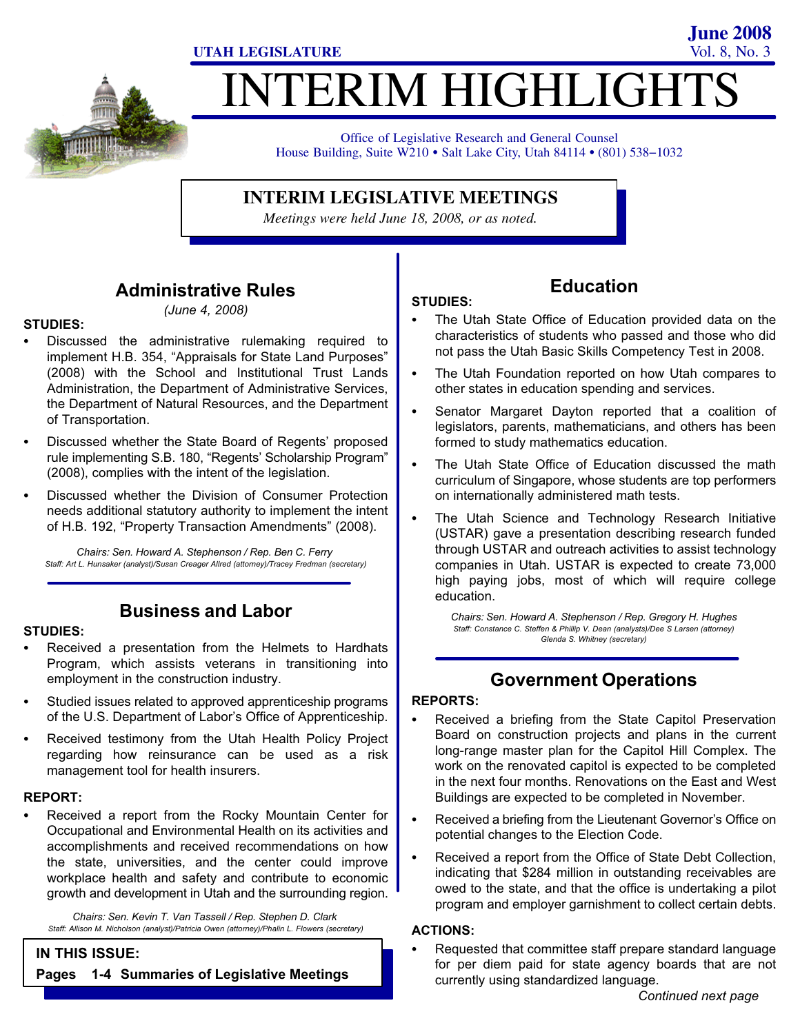**June 2008**

# INTERIM HIGHLIGHTS

Office of Legislative Research and General Counsel Office of Legislative Research and General Counsel<br>House Building, Suite W210 • Salt Lake City, Utah 84114 • (801) 538–1032

#### **INTERIM LEGISLATIVE MEETINGS**

*Meetings were held June 18, 2008, or as noted.*

## Administrative Rules

(June 4, 2008)

## STUDIES:<br>-

- Discussed the administrative rulemaking required to implement H.B. 354, "Appraisals for State Land Purposes" (2008) with the School and Institutional Trust Lands Administration, the Department of Administrative Services, the Department of Natural Resources, and the Department of Transportation.
- Discussed whether the State Board of Regents' proposed rule implementing S.B. 180, "Regents' Scholarship Program" (2008), complies with the intent of the legislation.
- Discussed whether the Division of Consumer Protection needs additional statutory authority to implement the intent of H.B. 192, "Property Transaction Amendments" (2008).

Chairs: Sen. Howard A. Stephenson / Rep. Ben C. Ferry Staff: Art L. Hunsaker (analyst)/Susan Creager Allred (attorney)/Tracey Fredman (secretary)

#### Business and Labor

## STUDIES:<br>-

- Received a presentation from the Helmets to Hardhats Program, which assists veterans in transitioning into employment in the construction industry.
- Studied issues related to approved apprenticeship programs of the U.S. Department of Labor's Office of Apprenticeship.
- Received testimony from the Utah Health Policy Project regarding how reinsurance can be used as a risk management tool for health insurers.

## REPORT: -

 Received a report from the Rocky Mountain Center for Occupational and Environmental Health on its activities and accomplishments and received recommendations on how the state, universities, and the center could improve workplace health and safety and contribute to economic growth and development in Utah and the surrounding region.

Chairs: Sen. Kevin T. Van Tassell / Rep. Stephen D. Clark Staff: Allison M. Nicholson (analyst)/Patricia Owen (attorney)/Phalin L. Flowers (secretary)

#### IN THIS ISSUE:

Pages 1−4 Summaries of Legislative Meetings

## Education

- STUDIES:<br>.. The Utah State Office of Education provided data on the characteristics of students who passed and those who did not pass the Utah Basic Skills Competency Test in 2008.
- The Utah Foundation reported on how Utah compares to other states in education spending and services.
- Senator Margaret Dayton reported that a coalition of legislators, parents, mathematicians, and others has been formed to study mathematics education.
- The Utah State Office of Education discussed the math curriculum of Singapore, whose students are top performers on internationally administered math tests.
- The Utah Science and Technology Research Initiative (USTAR) gave a presentation describing research funded through USTAR and outreach activities to assist technology companies in Utah. USTAR is expected to create 73,000 high paying jobs, most of which will require college education.

Chairs: Sen. Howard A. Stephenson / Rep. Gregory H. Hughes Staff: Constance C. Steffen & Phillip V. Dean (analysts)/Dee S Larsen (attorney) Glenda S. Whitney (secretary)

## Government Operations

## REPORTS:<br>—

- Received a briefing from the State Capitol Preservation Board on construction projects and plans in the current long−range master plan for the Capitol Hill Complex. The work on the renovated capitol is expected to be completed in the next four months. Renovations on the East and West Buildings are expected to be completed in November.
- Received a briefing from the Lieutenant Governor's Office on potential changes to the Election Code.
- Received a report from the Office of State Debt Collection, indicating that \$284 million in outstanding receivables are owed to the state, and that the office is undertaking a pilot program and employer garnishment to collect certain debts.

## ACTIONS: -

 Requested that committee staff prepare standard language for per diem paid for state agency boards that are not currently using standardized language.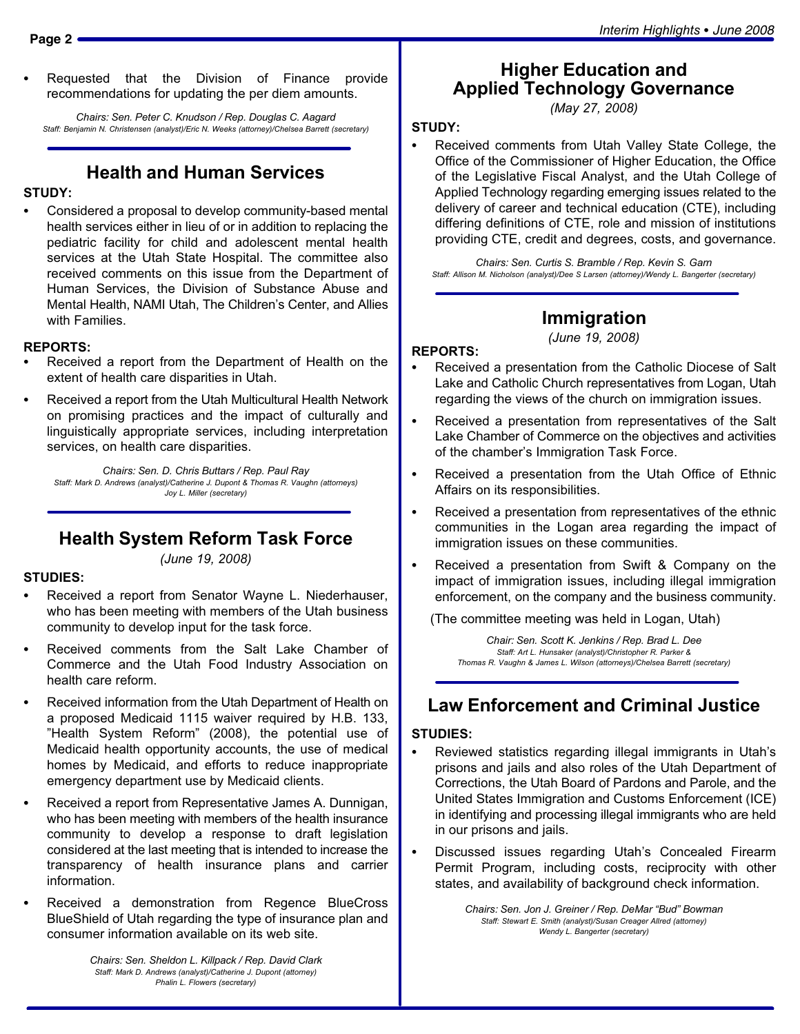Requested that the Division of Finance provide recommendations for updating the per diem amounts.

Chairs: Sen. Peter C. Knudson / Rep. Douglas C. Aagard Staff: Benjamin N. Christensen (analyst)/Eric N. Weeks (attorney)/Chelsea Barrett (secretary)

## Health and Human Services

# STUDY:

 Considered a proposal to develop community−based mental health services either in lieu of or in addition to replacing the pediatric facility for child and adolescent mental health services at the Utah State Hospital. The committee also received comments on this issue from the Department of Human Services, the Division of Substance Abuse and Mental Health, NAMI Utah, The Children's Center, and Allies with Families.

### REPORTS:

- Received a report from the Department of Health on the extent of health care disparities in Utah.
- Received a report from the Utah Multicultural Health Network on promising practices and the impact of culturally and linguistically appropriate services, including interpretation services, on health care disparities.

Chairs: Sen. D. Chris Buttars / Rep. Paul Ray Staff: Mark D. Andrews (analyst)/Catherine J. Dupont & Thomas R. Vaughn (attorneys) Joy L. Miller (secretary)

## Health System Reform Task Force

(June 19, 2008)

## STUDIES:<br>-

- Received a report from Senator Wayne L. Niederhauser, who has been meeting with members of the Utah business community to develop input for the task force.
- Received comments from the Salt Lake Chamber of Commerce and the Utah Food Industry Association on health care reform.
- Received information from the Utah Department of Health on a proposed Medicaid 1115 waiver required by H.B. 133, "Health System Reform" (2008), the potential use of Medicaid health opportunity accounts, the use of medical homes by Medicaid, and efforts to reduce inappropriate emergency department use by Medicaid clients.
- Received a report from Representative James A. Dunnigan, who has been meeting with members of the health insurance community to develop a response to draft legislation considered at the last meeting that is intended to increase the transparency of health insurance plans and carrier information.
- Received a demonstration from Regence BlueCross BlueShield of Utah regarding the type of insurance plan and consumer information available on its web site.

Higher Education and Applied Technology Governance

(May 27, 2008)

## STUDY: -

 Received comments from Utah Valley State College, the Office of the Commissioner of Higher Education, the Office of the Legislative Fiscal Analyst, and the Utah College of Applied Technology regarding emerging issues related to the delivery of career and technical education (CTE), including differing definitions of CTE, role and mission of institutions providing CTE, credit and degrees, costs, and governance.

Chairs: Sen. Curtis S. Bramble / Rep. Kevin S. Garn Staff: Allison M. Nicholson (analyst)/Dee S Larsen (attorney)/Wendy L. Bangerter (secretary)

#### Immigration

(June 19, 2008)

## REPORTS: -

- Received a presentation from the Catholic Diocese of Salt Lake and Catholic Church representatives from Logan, Utah regarding the views of the church on immigration issues.
- Received a presentation from representatives of the Salt Lake Chamber of Commerce on the objectives and activities of the chamber's Immigration Task Force.
- - Received a presentation from the Utah Office of Ethnic Affairs on its responsibilities.
- Received a presentation from representatives of the ethnic communities in the Logan area regarding the impact of immigration issues on these communities.
- Received a presentation from Swift & Company on the impact of immigration issues, including illegal immigration enforcement, on the company and the business community.

(The committee meeting was held in Logan, Utah)

Chair: Sen. Scott K. Jenkins / Rep. Brad L. Dee Staff: Art L. Hunsaker (analyst)/Christopher R. Parker & Thomas R. Vaughn & James L. Wilson (attorneys)/Chelsea Barrett (secretary)

## Law Enforcement and Criminal Justice

## STUDIES: -

- Reviewed statistics regarding illegal immigrants in Utah's prisons and jails and also roles of the Utah Department of Corrections, the Utah Board of Pardons and Parole, and the United States Immigration and Customs Enforcement (ICE) in identifying and processing illegal immigrants who are held in our prisons and jails.
- Discussed issues regarding Utah's Concealed Firearm Permit Program, including costs, reciprocity with other states, and availability of background check information.

Chairs: Sen. Jon J. Greiner / Rep. DeMar "Bud" Bowman Staff: Stewart E. Smith (analyst)/Susan Creager Allred (attorney) Wendy L. Bangerter (secretary)

Chairs: Sen. Sheldon L. Killpack / Rep. David Clark Staff: Mark D. Andrews (analyst)/Catherine J. Dupont (attorney) Phalin L. Flowers (secretary)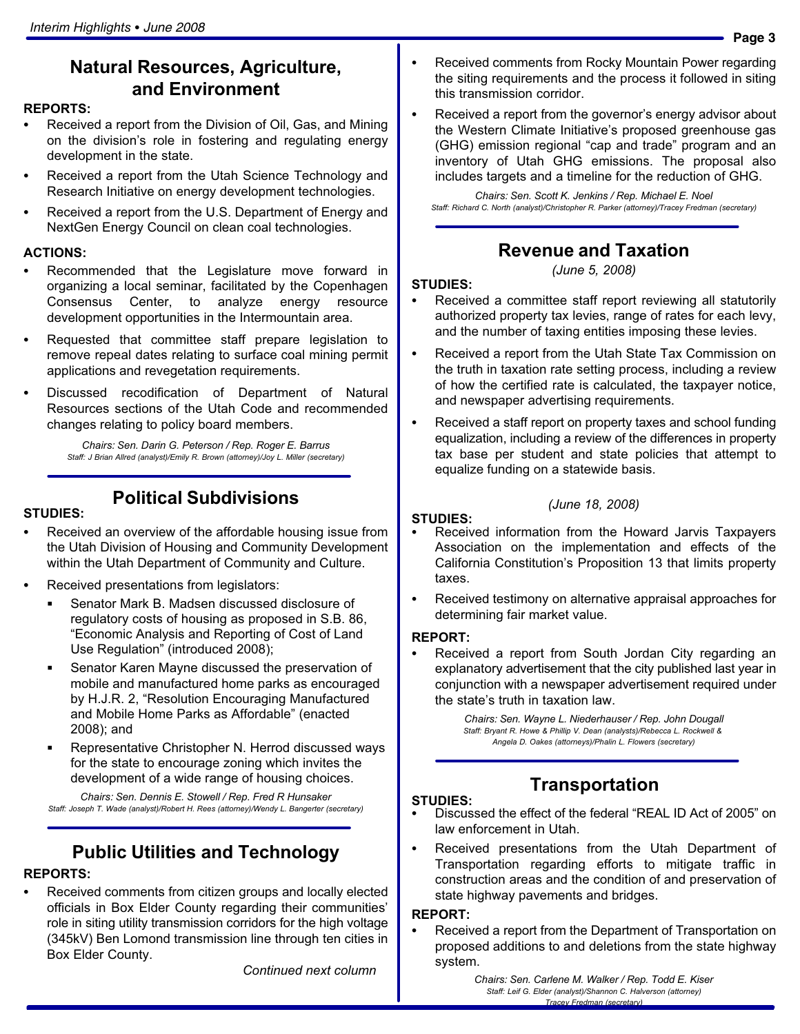## Natural Resources, Agriculture, and Environment

#### REPORTS: -

- Received a report from the Division of Oil, Gas, and Mining on the division's role in fostering and regulating energy development in the state.
- Received a report from the Utah Science Technology and Research Initiative on energy development technologies.
- Received a report from the U.S. Department of Energy and NextGen Energy Council on clean coal technologies.

## ACTIONS: -

- Recommended that the Legislature move forward in organizing a local seminar, facilitated by the Copenhagen Consensus Center, to analyze energy resource development opportunities in the Intermountain area.
- Requested that committee staff prepare legislation to remove repeal dates relating to surface coal mining permit applications and revegetation requirements.
- Discussed recodification of Department of Natural Resources sections of the Utah Code and recommended changes relating to policy board members.

Chairs: Sen. Darin G. Peterson / Rep. Roger E. Barrus Staff: J Brian Allred (analyst)/Emily R. Brown (attorney)/Joy L. Miller (secretary)

### Political Subdivisions

## STUDIES: -

- Received an overview of the affordable housing issue from the Utah Division of Housing and Community Development within the Utah Department of Community and Culture.
- **Received presentations from legislators:**<br>end in the state of the state of the state of the state of the state of the state of the state of the state of
	- Senator Mark B. Madsen discussed disclosure of regulatory costs of housing as proposed in S.B. 86, -Economic Analysis and Reporting of Cost of Land Use Regulation" (introduced 2008);
	- $\blacksquare$  Senator Karen Mayne discussed the preservation of mobile and manufactured home parks as encouraged by H.J.R. 2, "Resolution Encouraging Manufactured and Mobile Home Parks as Affordable" (enacted 2008); and
	- Representative Christopher N. Herrod discussed ways for the state to encourage zoning which invites the development of a wide range of housing choices.

Chairs: Sen. Dennis E. Stowell / Rep. Fred R Hunsaker Staff: Joseph T. Wade (analyst)/Robert H. Rees (attorney)/Wendy L. Bangerter (secretary)

## Public Utilities and Technology

## REPORTS: -

 Received comments from citizen groups and locally elected officials in Box Elder County regarding their communities' role in siting utility transmission corridors for the high voltage (345kV) Ben Lomond transmission line through ten cities in Box Elder County.

Continued next column

- Received comments from Rocky Mountain Power regarding the siting requirements and the process it followed in siting this transmission corridor.
- Received a report from the governor's energy advisor about the Western Climate Initiative's proposed greenhouse gas (GHG) emission regional "cap and trade" program and an inventory of Utah GHG emissions. The proposal also includes targets and a timeline for the reduction of GHG.

Chairs: Sen. Scott K. Jenkins / Rep. Michael E. Noel Staff: Richard C. North (analyst)/Christopher R. Parker (attorney)/Tracey Fredman (secretary)

## Revenue and Taxation

(June 5, 2008)

#### STUDIES: -

- Received a committee staff report reviewing all statutorily authorized property tax levies, range of rates for each levy, and the number of taxing entities imposing these levies.
- Received a report from the Utah State Tax Commission on the truth in taxation rate setting process, including a review of how the certified rate is calculated, the taxpayer notice, and newspaper advertising requirements.
- $\bullet$  Received a staff report on property taxes and school funding equalization, including a review of the differences in property tax base per student and state policies that attempt to equalize funding on a statewide basis.

#### (June 18, 2008)

#### STUDIES: -

- Received information from the Howard Jarvis Taxpayers Association on the implementation and effects of the California Constitution's Proposition 13 that limits property taxes.
- Received testimony on alternative appraisal approaches for determining fair market value.

### REPORT: -

 Received a report from South Jordan City regarding an explanatory advertisement that the city published last year in conjunction with a newspaper advertisement required under the state's truth in taxation law.

> Chairs: Sen. Wayne L. Niederhauser / Rep. John Dougall Staff: Bryant R. Howe & Phillip V. Dean (analysts)/Rebecca L. Rockwell & Angela D. Oakes (attorneys)/Phalin L. Flowers (secretary)

# **Transportation**

- STUDIES: • Discussed the effect of the federal "REAL ID Act of 2005" on law enforcement in Utah.
- Received presentations from the Utah Department of Transportation regarding efforts to mitigate traffic in construction areas and the condition of and preservation of state highway pavements and bridges.

#### REPORT: -

 Received a report from the Department of Transportation on proposed additions to and deletions from the state highway system.

> Chairs: Sen. Carlene M. Walker / Rep. Todd E. Kiser Staff: Leif G. Elder (analyst)/Shannon C. Halverson (attorney) Tracey Fredman (secretary)